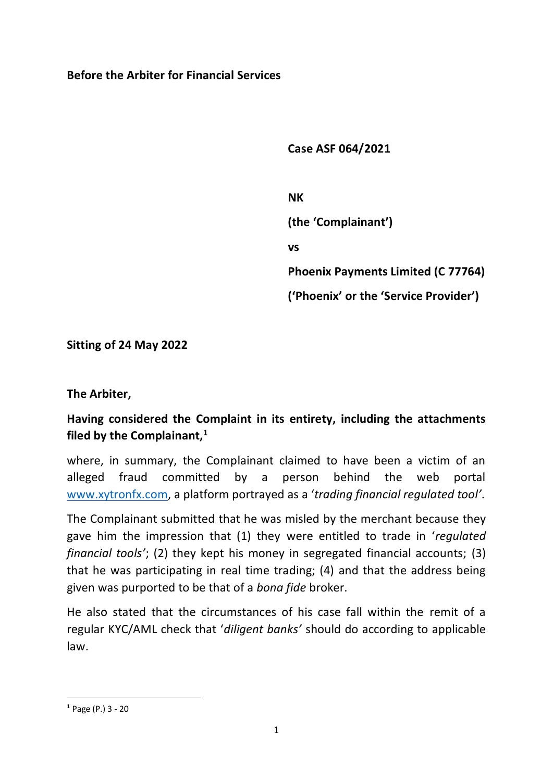#### **Before the Arbiter for Financial Services**

 **Case ASF 064/2021**

 **NK**

 **(the 'Complainant')**

 **vs**

 **Phoenix Payments Limited (C 77764)**

 **('Phoenix' or the 'Service Provider')**

**Sitting of 24 May 2022**

**The Arbiter,**

# **Having considered the Complaint in its entirety, including the attachments filed by the Complainant,<sup>1</sup>**

where, in summary, the Complainant claimed to have been a victim of an alleged fraud committed by a person behind the web portal [www.xytronfx.com,](http://www.xytronfx.com/) a platform portrayed as a '*trading financial regulated tool'*.

The Complainant submitted that he was misled by the merchant because they gave him the impression that (1) they were entitled to trade in '*regulated financial tools'*; (2) they kept his money in segregated financial accounts; (3) that he was participating in real time trading; (4) and that the address being given was purported to be that of a *bona fide* broker.

He also stated that the circumstances of his case fall within the remit of a regular KYC/AML check that '*diligent banks'* should do according to applicable law.

 $1$  Page (P.) 3 - 20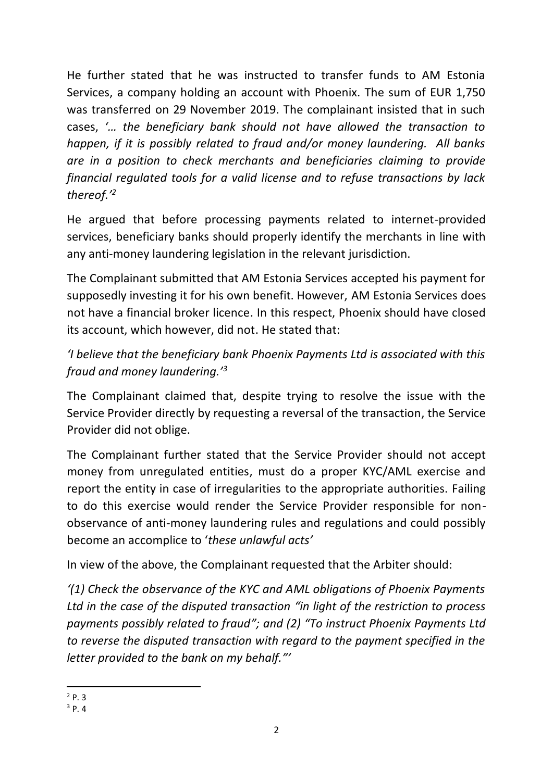He further stated that he was instructed to transfer funds to AM Estonia Services, a company holding an account with Phoenix. The sum of EUR 1,750 was transferred on 29 November 2019. The complainant insisted that in such cases, *'… the beneficiary bank should not have allowed the transaction to happen, if it is possibly related to fraud and/or money laundering. All banks are in a position to check merchants and beneficiaries claiming to provide financial regulated tools for a valid license and to refuse transactions by lack thereof.'<sup>2</sup>*

He argued that before processing payments related to internet-provided services, beneficiary banks should properly identify the merchants in line with any anti-money laundering legislation in the relevant jurisdiction.

The Complainant submitted that AM Estonia Services accepted his payment for supposedly investing it for his own benefit. However, AM Estonia Services does not have a financial broker licence. In this respect, Phoenix should have closed its account, which however, did not. He stated that:

# *'I believe that the beneficiary bank Phoenix Payments Ltd is associated with this fraud and money laundering.'<sup>3</sup>*

The Complainant claimed that, despite trying to resolve the issue with the Service Provider directly by requesting a reversal of the transaction, the Service Provider did not oblige.

The Complainant further stated that the Service Provider should not accept money from unregulated entities, must do a proper KYC/AML exercise and report the entity in case of irregularities to the appropriate authorities. Failing to do this exercise would render the Service Provider responsible for nonobservance of anti-money laundering rules and regulations and could possibly become an accomplice to '*these unlawful acts'*

In view of the above, the Complainant requested that the Arbiter should:

*'(1) Check the observance of the KYC and AML obligations of Phoenix Payments Ltd in the case of the disputed transaction "in light of the restriction to process payments possibly related to fraud"; and (2) "To instruct Phoenix Payments Ltd to reverse the disputed transaction with regard to the payment specified in the letter provided to the bank on my behalf."'*

 $^{2}P.3$ 

<sup>3</sup> P. 4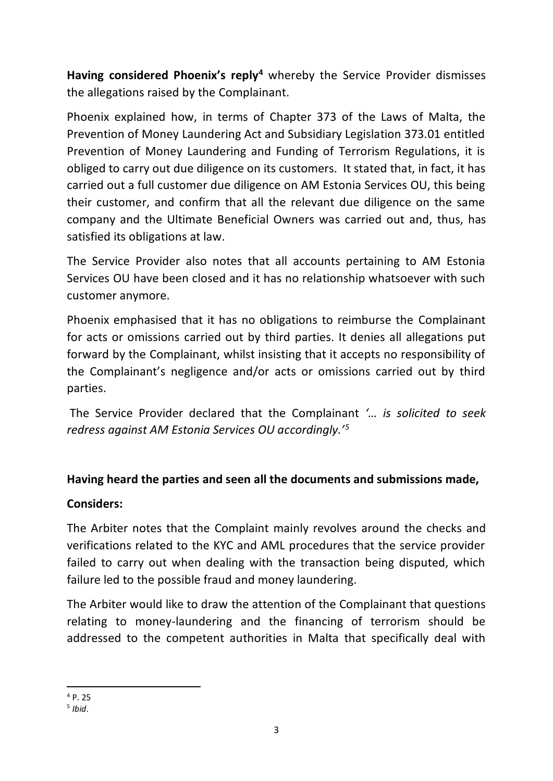**Having considered Phoenix's reply<sup>4</sup>** whereby the Service Provider dismisses the allegations raised by the Complainant.

Phoenix explained how, in terms of Chapter 373 of the Laws of Malta, the Prevention of Money Laundering Act and Subsidiary Legislation 373.01 entitled Prevention of Money Laundering and Funding of Terrorism Regulations, it is obliged to carry out due diligence on its customers. It stated that, in fact, it has carried out a full customer due diligence on AM Estonia Services OU, this being their customer, and confirm that all the relevant due diligence on the same company and the Ultimate Beneficial Owners was carried out and, thus, has satisfied its obligations at law.

The Service Provider also notes that all accounts pertaining to AM Estonia Services OU have been closed and it has no relationship whatsoever with such customer anymore.

Phoenix emphasised that it has no obligations to reimburse the Complainant for acts or omissions carried out by third parties. It denies all allegations put forward by the Complainant, whilst insisting that it accepts no responsibility of the Complainant's negligence and/or acts or omissions carried out by third parties.

The Service Provider declared that the Complainant *'… is solicited to seek redress against AM Estonia Services OU accordingly.'<sup>5</sup>*

### **Having heard the parties and seen all the documents and submissions made,**

#### **Considers:**

The Arbiter notes that the Complaint mainly revolves around the checks and verifications related to the KYC and AML procedures that the service provider failed to carry out when dealing with the transaction being disputed, which failure led to the possible fraud and money laundering.

The Arbiter would like to draw the attention of the Complainant that questions relating to money-laundering and the financing of terrorism should be addressed to the competent authorities in Malta that specifically deal with

 $4p.25$ 

<sup>5</sup> *Ibid*.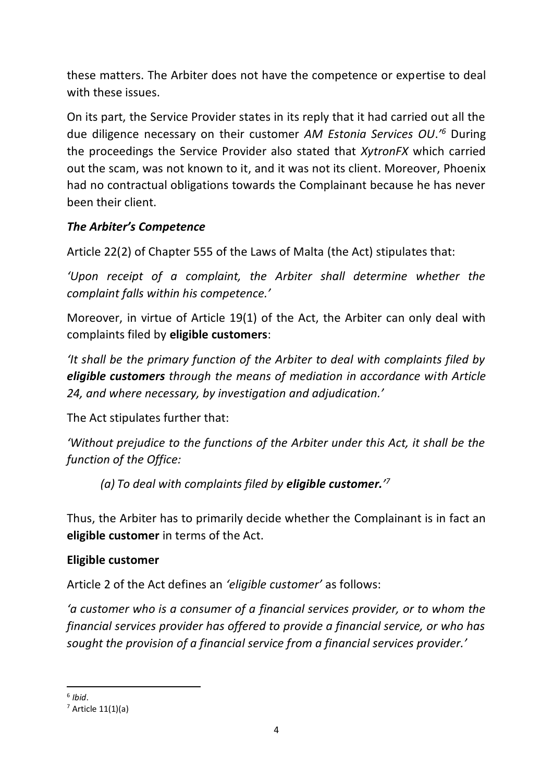these matters. The Arbiter does not have the competence or expertise to deal with these issues.

On its part, the Service Provider states in its reply that it had carried out all the due diligence necessary on their customer *AM Estonia Services OU*.*' <sup>6</sup>* During the proceedings the Service Provider also stated that *XytronFX* which carried out the scam, was not known to it, and it was not its client. Moreover, Phoenix had no contractual obligations towards the Complainant because he has never been their client.

# *The Arbiter's Competence*

Article 22(2) of Chapter 555 of the Laws of Malta (the Act) stipulates that:

*'Upon receipt of a complaint, the Arbiter shall determine whether the complaint falls within his competence.'*

Moreover, in virtue of Article 19(1) of the Act, the Arbiter can only deal with complaints filed by **eligible customers**:

*'It shall be the primary function of the Arbiter to deal with complaints filed by eligible customers through the means of mediation in accordance with Article 24, and where necessary, by investigation and adjudication.'*

The Act stipulates further that:

*'Without prejudice to the functions of the Arbiter under this Act, it shall be the function of the Office:*

*(a) To deal with complaints filed by eligible customer.' 7*

Thus, the Arbiter has to primarily decide whether the Complainant is in fact an **eligible customer** in terms of the Act.

### **Eligible customer**

Article 2 of the Act defines an *'eligible customer'* as follows:

*'a customer who is a consumer of a financial services provider, or to whom the financial services provider has offered to provide a financial service, or who has sought the provision of a financial service from a financial services provider.'*

<sup>6</sup> *Ibid*.

 $7$  Article 11(1)(a)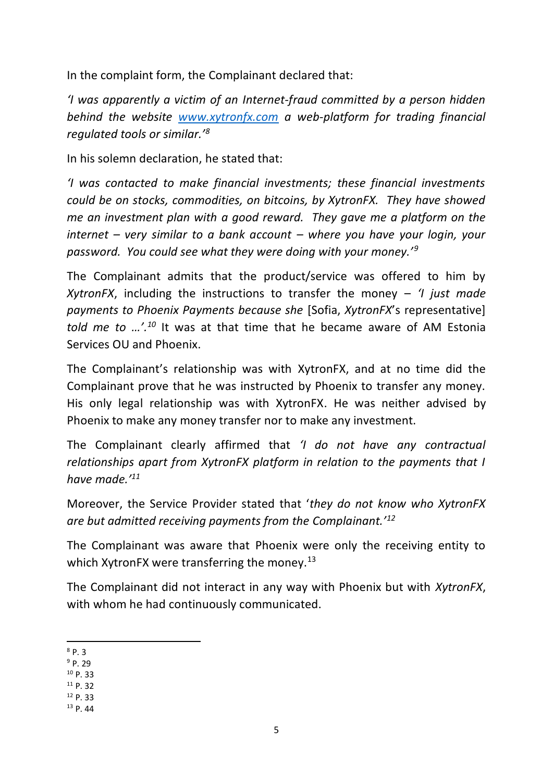In the complaint form, the Complainant declared that:

*'I was apparently a victim of an Internet-fraud committed by a person hidden behind the website [www.xytronfx.com](http://www.xytronfx.com/) a web-platform for trading financial regulated tools or similar.'<sup>8</sup>*

In his solemn declaration, he stated that:

*'I was contacted to make financial investments; these financial investments could be on stocks, commodities, on bitcoins, by XytronFX. They have showed me an investment plan with a good reward. They gave me a platform on the internet – very similar to a bank account – where you have your login, your password. You could see what they were doing with your money.'<sup>9</sup>*

The Complainant admits that the product/service was offered to him by *XytronFX*, including the instructions to transfer the money – *'I just made payments to Phoenix Payments because she* [Sofia, *XytronFX*'s representative] *told me to …'. <sup>10</sup>* It was at that time that he became aware of AM Estonia Services OU and Phoenix.

The Complainant's relationship was with XytronFX, and at no time did the Complainant prove that he was instructed by Phoenix to transfer any money. His only legal relationship was with XytronFX. He was neither advised by Phoenix to make any money transfer nor to make any investment.

The Complainant clearly affirmed that *'I do not have any contractual relationships apart from XytronFX platform in relation to the payments that I have made.'<sup>11</sup>*

Moreover, the Service Provider stated that '*they do not know who XytronFX are but admitted receiving payments from the Complainant.'<sup>12</sup>*

The Complainant was aware that Phoenix were only the receiving entity to which XytronFX were transferring the money.<sup>13</sup>

The Complainant did not interact in any way with Phoenix but with *XytronFX*, with whom he had continuously communicated.

5

<sup>13</sup> P. 44

 $8$  P. 3

 $9$  P. 29

 $10$  P. 33

<sup>11</sup> P. 32 <sup>12</sup> P. 33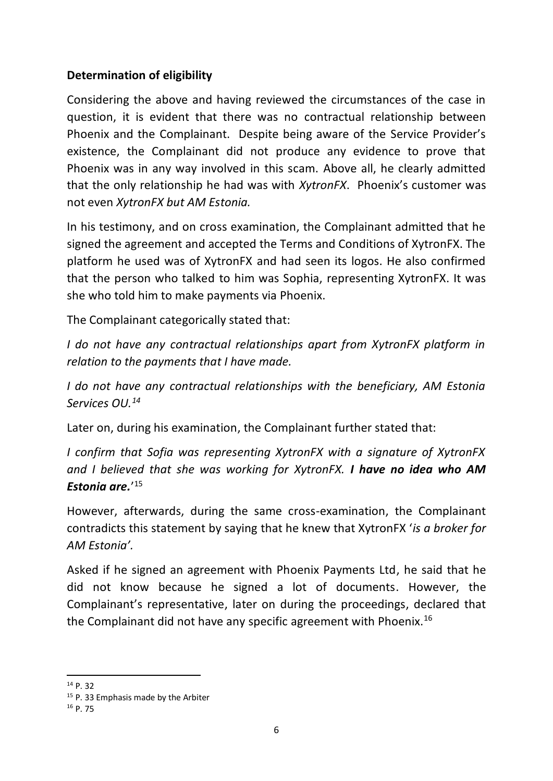### **Determination of eligibility**

Considering the above and having reviewed the circumstances of the case in question, it is evident that there was no contractual relationship between Phoenix and the Complainant. Despite being aware of the Service Provider's existence, the Complainant did not produce any evidence to prove that Phoenix was in any way involved in this scam. Above all, he clearly admitted that the only relationship he had was with *XytronFX*. Phoenix's customer was not even *XytronFX but AM Estonia.*

In his testimony, and on cross examination, the Complainant admitted that he signed the agreement and accepted the Terms and Conditions of XytronFX. The platform he used was of XytronFX and had seen its logos. He also confirmed that the person who talked to him was Sophia, representing XytronFX. It was she who told him to make payments via Phoenix.

The Complainant categorically stated that:

*I* do not have any contractual relationships apart from XytronFX platform in *relation to the payments that I have made.*

*I do not have any contractual relationships with the beneficiary, AM Estonia Services OU.<sup>14</sup>*

Later on, during his examination, the Complainant further stated that:

*I confirm that Sofia was representing XytronFX with a signature of XytronFX and I believed that she was working for XytronFX. I have no idea who AM Estonia are.*' 15

However, afterwards, during the same cross-examination, the Complainant contradicts this statement by saying that he knew that XytronFX '*is a broker for AM Estonia'.*

Asked if he signed an agreement with Phoenix Payments Ltd, he said that he did not know because he signed a lot of documents. However, the Complainant's representative, later on during the proceedings, declared that the Complainant did not have any specific agreement with Phoenix.<sup>16</sup>

<sup>14</sup> P. 32

<sup>&</sup>lt;sup>15</sup> P. 33 Emphasis made by the Arbiter

<sup>16</sup> P. 75